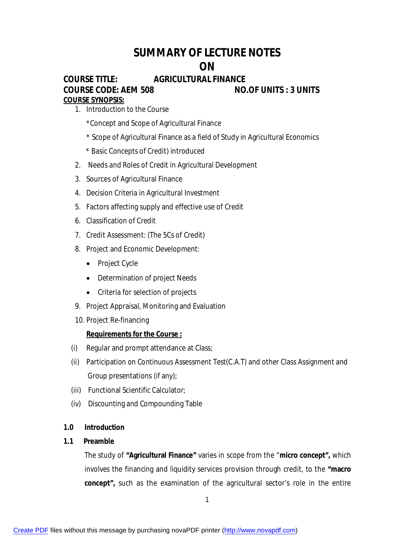# **SUMMARY OF LECTURE NOTES ON**

## **COURSE TITLE: AGRICULTURAL FINANCE COURSE CODE: AEM 508 NO.OF UNITS : 3 UNITS COURSE SYNOPSIS:**

1. Introduction to the Course

\*Concept and Scope of Agricultural Finance

- \* Scope of Agricultural Finance as a field of Study in Agricultural Economics
- \* Basic Concepts of Credit) introduced
- 2. Needs and Roles of Credit in Agricultural Development
- 3. Sources of Agricultural Finance
- 4. Decision Criteria in Agricultural Investment
- 5. Factors affecting supply and effective use of Credit
- 6. Classification of Credit
- 7. Credit Assessment: (The 5Cs of Credit)
- 8. Project and Economic Development:
	- Project Cycle
	- Determination of project Needs
	- Criteria for selection of projects
- 9. Project Appraisal, Monitoring and Evaluation
- 10. Project Re-financing

## **Requirements for the Course :**

- (i) Regular and prompt attendance at Class;
- (ii) Participation on Continuous Assessment Test(C.A.T) and other Class Assignment and Group presentations (if any);
- (iii) Functional Scientific Calculator;
- (iv) Discounting and Compounding Table

## **1.0 Introduction**

## **1.1 Preamble**

The study of **"Agricultural Finance"** varies in scope from the "**micro concept",** which involves the financing and liquidity services provision through credit, to the **"macro concept",** such as the examination of the agricultural sector's role in the entire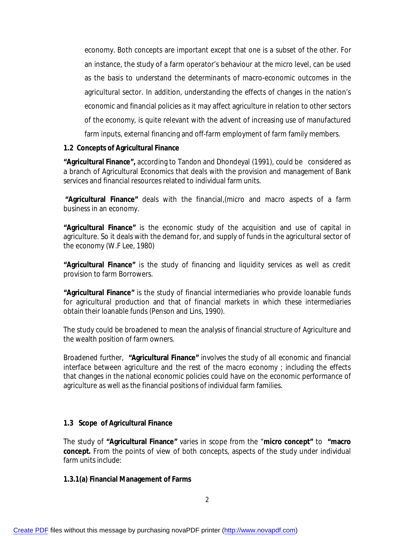economy. Both concepts are important except that one is a subset of the other. For an instance, the study of a farm operator's behaviour at the micro level, can be used as the basis to understand the determinants of macro-economic outcomes in the agricultural sector. In addition, understanding the effects of changes in the nation's economic and financial policies as it may affect agriculture in relation to other sectors of the economy, is quite relevant with the advent of increasing use of manufactured farm inputs, external financing and off-farm employment of farm family members.

## **1.2 Concepts of Agricultural Finance**

**"Agricultural Finance",** according to Tandon and Dhondeyal (1991), could be considered as a branch of Agricultural Economics that deals with the provision and management of Bank services and financial resources related to individual farm units.

**"Agricultural Finance"** deals with the financial,(micro and macro aspects of a farm business in an economy.

**"Agricultural Finance"** is the economic study of the acquisition and use of capital in agriculture. So it deals with the demand for, and supply of funds in the agricultural sector of the economy (W.F Lee, 1980)

**"Agricultural Finance"** is the study of financing and liquidity services as well as credit provision to farm Borrowers.

**"Agricultural Finance"** is the study of financial intermediaries who provide loanable funds for agricultural production and that of financial markets in which these intermediaries obtain their loanable funds (Penson and Lins, 1990).

The study could be broadened to mean the analysis of financial structure of Agriculture and the wealth position of farm owners.

Broadened further, **"Agricultural Finance"** involves the study of all economic and financial interface between agriculture and the rest of the macro economy ; including the effects that changes in the national economic policies could have on the economic performance of agriculture as well as the financial positions of individual farm families.

## **1.3 Scope of Agricultural Finance**

The study of **"Agricultural Finance"** varies in scope from the "**micro concept"** to **"macro concept.** From the points of view of both concepts, aspects of the study under individual farm units include:

## **1.3.1(a) Financial Management of Farms**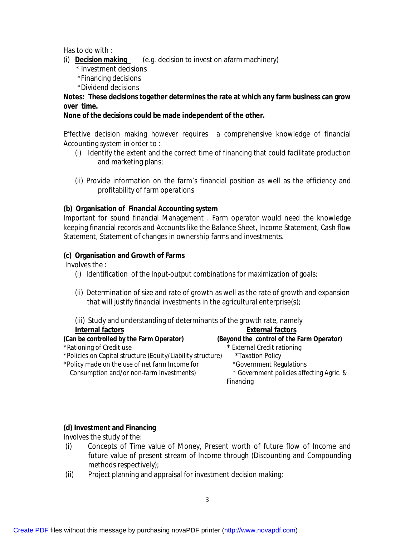Has to do with :

- (i) **Decision making** (e.g. decision to invest on afarm machinery)
	- \* Investment decisions
	- \*Financing decisions
	- \*Dividend decisions

## **Notes: These decisions together determines the rate at which any farm business can grow over time.**

## **None of the decisions could be made independent of the other.**

Effective decision making however requires a comprehensive knowledge of financial Accounting system in order to :

- (i) Identify the extent and the correct time of financing that could facilitate production and marketing plans;
- (ii) Provide information on the farm's financial position as well as the efficiency and profitability of farm operations

## **(b) Organisation of Financial Accounting system**

Important for sound financial Management . Farm operator would need the knowledge keeping financial records and Accounts like the Balance Sheet, Income Statement, Cash flow Statement, Statement of changes in ownership farms and investments.

## **(c) Organisation and Growth of Farms**

Involves the :

- (i) Identification of the Input-output combinations for maximization of goals;
- (ii) Determination of size and rate of growth as well as the rate of growth and expansion that will justify financial investments in the agricultural enterprise(s);

(iii) Study and understanding of determinants of the growth rate, namely

| <b>Internal factors</b>                                     | <b>External factors</b>                   |
|-------------------------------------------------------------|-------------------------------------------|
| (Can be controlled by the Farm Operator)                    | (Beyond the control of the Farm Operator) |
| *Rationing of Credit use                                    | * External Credit rationing               |
| *Policies on Capital structure (Equity/Liability structure) | *Taxation Policy                          |
| *Policy made on the use of net farm Income for              | *Government Regulations                   |
| Consumption and/or non-farm Investments)                    | * Government policies affecting Agric. &  |
|                                                             | Financing                                 |
|                                                             |                                           |

## **(d) Investment and Financing**

Involves the study of the:

- (i) Concepts of Time value of Money, Present worth of future flow of Income and future value of present stream of Income through (Discounting and Compounding methods respectively);
- (ii) Project planning and appraisal for investment decision making;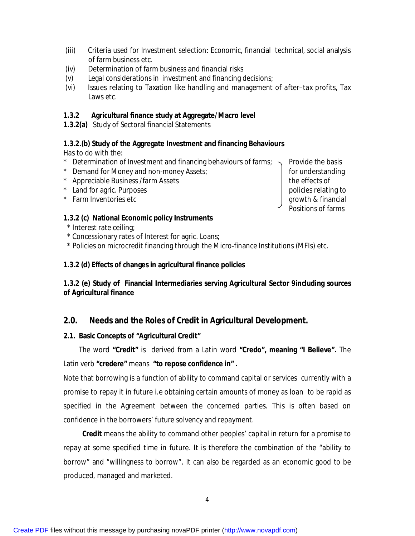- (iii) Criteria used for Investment selection: Economic, financial technical, social analysis of farm business etc.
- (iv) Determination of farm business and financial risks
- (v) Legal considerations in investment and financing decisions;
- (vi) Issues relating to Taxation like handling and management of after–tax profits, Tax Laws etc.

## **1.3.2 Agricultural finance study at Aggregate/Macro level**

**1.3.2(a)** Study of Sectoral financial Statements

## **1.3.2.(b) Study of the Aggregate Investment and financing Behaviours**

Has to do with the:

- \* Determination of Investment and financing behaviours of farms;  $\sim$  Provide the basis
- \* Demand for Money and non-money Assets; https://www.facebook.com/discreen/index-
- \* Appreciable Business /farm Assets the effects of
- \* Land for agric. Purposes policies relating to policies relating to
- \* Farm Inventories etc growth & financial

## **1.3.2 (c) National Economic policy Instruments**

- \* Interest rate ceiling;
- \* Concessionary rates of Interest for agric. Loans;

\* Policies on microcredit financing through the Micro-finance Institutions (MFIs) etc.

## **1.3.2 (d) Effects of changes in agricultural finance policies**

## **1.3.2 (e) Study of Financial Intermediaries serving Agricultural Sector 9including sources of Agricultural finance**

## **2.0. Needs and the Roles of Credit in Agricultural Development.**

## **2.1. Basic Concepts of "Agricultural Credit"**

 The word **"Credit"** is derived from a Latin word **"Credo", meaning "I Believe".** The Latin verb **"credere"** means **"to repose confidence in" .**

Note that borrowing is a function of ability to command capital or services currently with a promise to repay it in future i.e obtaining certain amounts of money as loan to be rapid as specified in the Agreement between the concerned parties. This is often based on confidence in the borrowers' future solvency and repayment.

 **Credit** means the ability to command other peoples' capital in return for a promise to repay at some specified time in future. It is therefore the combination of the "ability to borrow" and "willingness to borrow". It can also be regarded as an economic good to be produced, managed and marketed.

Positions of farms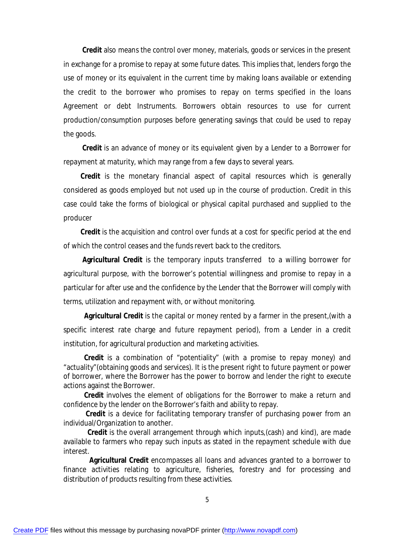**Credit** also means the control over money, materials, goods or services in the present in exchange for a promise to repay at some future dates. This implies that, lenders forgo the use of money or its equivalent in the current time by making loans available or extending the credit to the borrower who promises to repay on terms specified in the loans Agreement or debt Instruments. Borrowers obtain resources to use for current production/consumption purposes before generating savings that could be used to repay the goods.

 **Credit** is an advance of money or its equivalent given by a Lender to a Borrower for repayment at maturity, which may range from a few days to several years.

 **Credit** is the monetary financial aspect of capital resources which is generally considered as goods employed but not used up in the course of production. Credit in this case could take the forms of biological or physical capital purchased and supplied to the producer

 **Credit** is the acquisition and control over funds at a cost for specific period at the end of which the control ceases and the funds revert back to the creditors.

 **Agricultural Credit** is the temporary inputs transferred to a willing borrower for agricultural purpose, with the borrower's potential willingness and promise to repay in a particular for after use and the confidence by the Lender that the Borrower will comply with terms, utilization and repayment with, or without monitoring.

 **Agricultural Credit** is the capital or money rented by a farmer in the present,(with a specific interest rate charge and future repayment period), from a Lender in a credit institution, for agricultural production and marketing activities.

 **Credit** is a combination of "potentiality" (with a promise to repay money) and "actuality"(obtaining goods and services). It is the present right to future payment or power of borrower, where the Borrower has the power to borrow and lender the right to execute actions against the Borrower.

 **Credit** involves the element of obligations for the Borrower to make a return and confidence by the lender on the Borrower's faith and ability to repay.

 **Credit** is a device for facilitating temporary transfer of purchasing power from an individual/Organization to another.

 **Credit** is the overall arrangement through which inputs,(cash) and kind), are made available to farmers who repay such inputs as stated in the repayment schedule with due interest.

 **Agricultural Credit** encompasses all loans and advances granted to a borrower to finance activities relating to agriculture, fisheries, forestry and for processing and distribution of products resulting from these activities.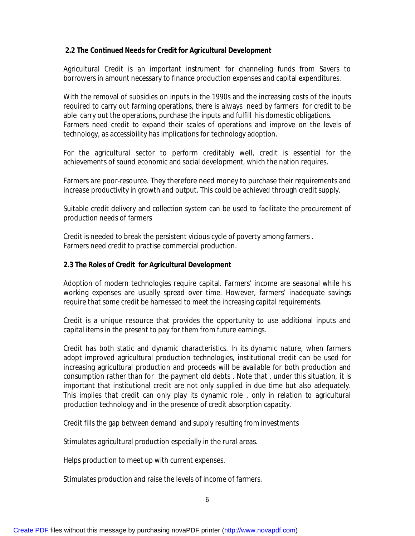## **2.2 The Continued Needs for Credit for Agricultural Development**

Agricultural Credit is an important instrument for channeling funds from Savers to borrowers in amount necessary to finance production expenses and capital expenditures.

With the removal of subsidies on inputs in the 1990s and the increasing costs of the inputs required to carry out farming operations, there is always need by farmers for credit to be able carry out the operations, purchase the inputs and fulfill his domestic obligations. Farmers need credit to expand their scales of operations and improve on the levels of technology, as accessibility has implications for technology adoption.

For the agricultural sector to perform creditably well, credit is essential for the achievements of sound economic and social development, which the nation requires.

Farmers are poor-resource. They therefore need money to purchase their requirements and increase productivity in growth and output. This could be achieved through credit supply.

Suitable credit delivery and collection system can be used to facilitate the procurement of production needs of farmers

Credit is needed to break the persistent vicious cycle of poverty among farmers . Farmers need credit to practise commercial production.

### **2.3 The Roles of Credit for Agricultural Development**

Adoption of modern technologies require capital. Farmers' income are seasonal while his working expenses are usually spread over time. However, farmers' inadequate savings require that some credit be harnessed to meet the increasing capital requirements.

Credit is a unique resource that provides the opportunity to use additional inputs and capital items in the present to pay for them from future earnings.

Credit has both static and dynamic characteristics. In its dynamic nature, when farmers adopt improved agricultural production technologies, institutional credit can be used for increasing agricultural production and proceeds will be available for both production and consumption rather than for the payment old debts . Note that , under this situation, it is important that institutional credit are not only supplied in due time but also adequately. This implies that credit can only play its dynamic role , only in relation to agricultural production technology and in the presence of credit absorption capacity.

Credit fills the gap between demand and supply resulting from investments

Stimulates agricultural production especially in the rural areas.

Helps production to meet up with current expenses.

Stimulates production and raise the levels of income of farmers.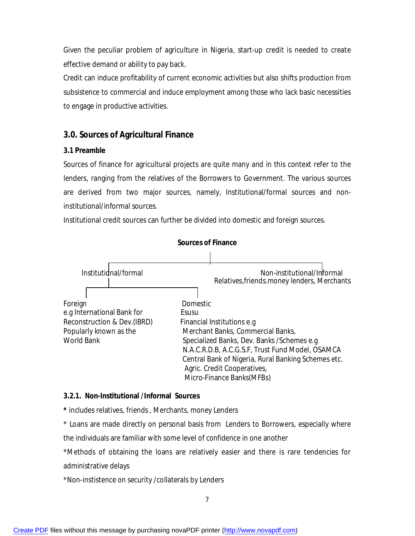Given the peculiar problem of agriculture in Nigeria, start-up credit is needed to create effective demand or ability to pay back.

Credit can induce profitability of current economic activities but also shifts production from subsistence to commercial and induce employment among those who lack basic necessities to engage in productive activities.

## **3.0. Sources of Agricultural Finance**

## **3.1 Preamble**

Sources of finance for agricultural projects are quite many and in this context refer to the lenders, ranging from the relatives of the Borrowers to Government. The various sources are derived from two major sources, namely, Institutional/formal sources and noninstitutional/informal sources.

Institutional credit sources can further be divided into domestic and foreign sources.



## **3.2.1. Non-Institutional /Informal Sources**

**\*** includes relatives, friends , Merchants, money Lenders

\* Loans are made directly on personal basis from Lenders to Borrowers, especially where the individuals are familiar with some level of confidence in one another

\*Methods of obtaining the loans are relatively easier and there is rare tendencies for administrative delays

\*Non-instistence on security /collaterals by Lenders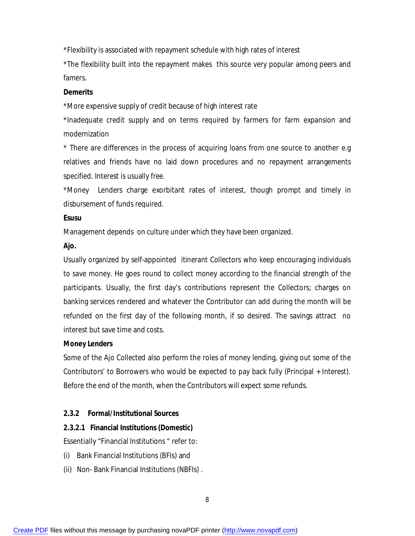\*Flexibility is associated with repayment schedule with high rates of interest

\*The flexibility built into the repayment makes this source very popular among peers and famers.

### **Demerits**

\*More expensive supply of credit because of high interest rate

\*Inadequate credit supply and on terms required by farmers for farm expansion and modernization

\* There are differences in the process of acquiring loans from one source to another e.g relatives and friends have no laid down procedures and no repayment arrangements specified. Interest is usually free.

\*Money Lenders charge exorbitant rates of interest, though prompt and timely in disbursement of funds required.

### **Esusu**

Management depends on culture under which they have been organized.

## **Ajo.**

Usually organized by self-appointed itinerant Collectors who keep encouraging individuals to save money. He goes round to collect money according to the financial strength of the participants. Usually, the first day's contributions represent the Collectors; charges on banking services rendered and whatever the Contributor can add during the month will be refunded on the first day of the following month, if so desired. The savings attract no interest but save time and costs.

## **Money Lenders**

Some of the Ajo Collected also perform the roles of money lending, giving out some of the Contributors' to Borrowers who would be expected to pay back fully (Principal + Interest). Before the end of the month, when the Contributors will expect some refunds.

## **2.3.2 Formal/Institutional Sources**

## **2.3.2.1 Financial Institutions (Domestic)**

Essentially "Financial Institutions " refer to:

- (i) Bank Financial Institutions (BFIs) and
- (ii) Non- Bank Financial Institutions (NBFIs) .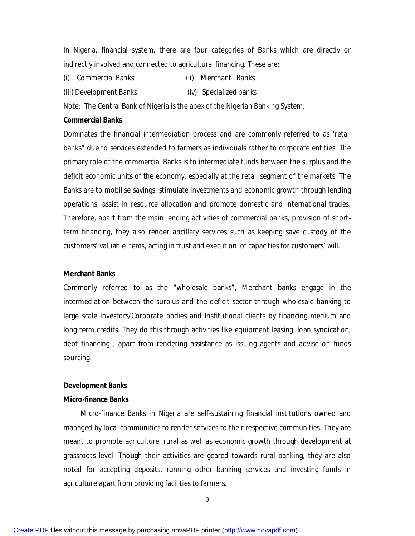In Nigeria, financial system, there are four categories of Banks which are directly or indirectly involved and connected to agricultural financing. These are:

- (i) Commercial Banks (ii) Merchant Banks
- (iii) Development Banks (iv) Specialized banks

Note: The Central Bank of Nigeria is the apex of the Nigerian Banking System.

#### **Commercial Banks**

Dominates the financial intermediation process and are commonly referred to as 'retail banks" due to services extended to farmers as individuals rather to corporate entities. The primary role of the commercial Banks is to intermediate funds between the surplus and the deficit economic units of the economy, especially at the retail segment of the markets. The Banks are to mobilise savings, stimulate investments and economic growth through lending operations, assist in resource allocation and promote domestic and international trades. Therefore, apart from the main lending activities of commercial banks, provision of shortterm financing, they also render ancillary services such as keeping save custody of the customers' valuable items, acting in trust and execution of capacities for customers' will.

#### **Merchant Banks**

Commonly referred to as the "wholesale banks", Merchant banks engage in the intermediation between the surplus and the deficit sector through wholesale banking to large scale investors/Corporate bodies and Institutional clients by financing medium and long term credits. They do this through activities like equipment leasing, loan syndication, debt financing , apart from rendering assistance as issuing agents and advise on funds sourcing.

#### **Development Banks**

#### **Micro-finance Banks**

 Micro-finance Banks in Nigeria are self-sustaining financial institutions owned and managed by local communities to render services to their respective communities. They are meant to promote agriculture, rural as well as economic growth through development at grassroots level. Though their activities are geared towards rural banking, they are also noted for accepting deposits, running other banking services and investing funds in agriculture apart from providing facilities to farmers.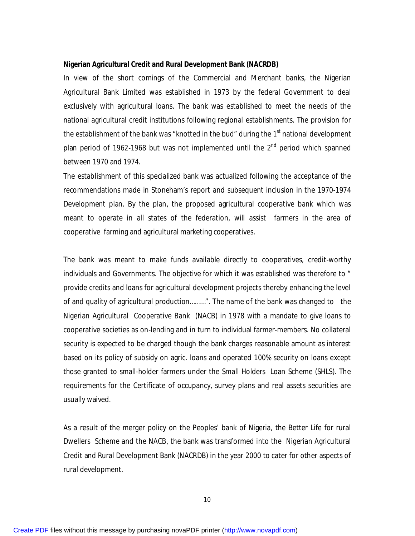#### **Nigerian Agricultural Credit and Rural Development Bank (NACRDB)**

In view of the short comings of the Commercial and Merchant banks, the Nigerian Agricultural Bank Limited was established in 1973 by the federal Government to deal exclusively with agricultural loans. The bank was established to meet the needs of the national agricultural credit institutions following regional establishments. The provision for the establishment of the bank was "knotted in the bud" during the 1<sup>st</sup> national development plan period of 1962-1968 but was not implemented until the  $2^{nd}$  period which spanned between 1970 and 1974.

The establishment of this specialized bank was actualized following the acceptance of the recommendations made in Stoneham's report and subsequent inclusion in the 1970-1974 Development plan. By the plan, the proposed agricultural cooperative bank which was meant to operate in all states of the federation, will assist farmers in the area of cooperative farming and agricultural marketing cooperatives.

The bank was meant to make funds available directly to cooperatives, credit-worthy individuals and Governments. The objective for which it was established was therefore to " provide credits and loans for agricultural development projects thereby enhancing the level of and quality of agricultural production………". The name of the bank was changed to the Nigerian Agricultural Cooperative Bank (NACB) in 1978 with a mandate to give loans to cooperative societies as on-lending and in turn to individual farmer-members. No collateral security is expected to be charged though the bank charges reasonable amount as interest based on its policy of subsidy on agric. loans and operated 100% security on loans except those granted to small-holder farmers under the Small Holders Loan Scheme (SHLS). The requirements for the Certificate of occupancy, survey plans and real assets securities are usually waived.

As a result of the merger policy on the Peoples' bank of Nigeria, the Better Life for rural Dwellers Scheme and the NACB, the bank was transformed into the Nigerian Agricultural Credit and Rural Development Bank (NACRDB) in the year 2000 to cater for other aspects of rural development.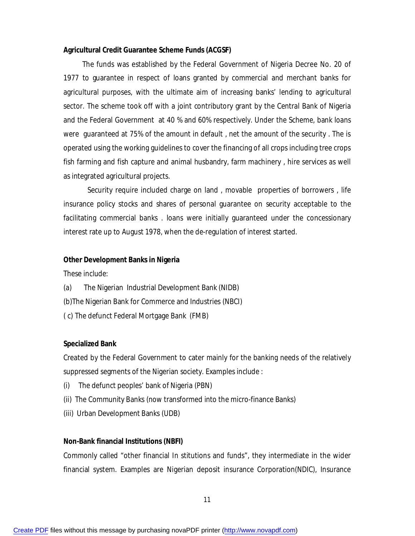#### **Agricultural Credit Guarantee Scheme Funds (ACGSF)**

 The funds was established by the Federal Government of Nigeria Decree No. 20 of 1977 to guarantee in respect of loans granted by commercial and merchant banks for agricultural purposes, with the ultimate aim of increasing banks' lending to agricultural sector. The scheme took off with a joint contributory grant by the Central Bank of Nigeria and the Federal Government at 40 % and 60% respectively. Under the Scheme, bank loans were guaranteed at 75% of the amount in default , net the amount of the security . The is operated using the working guidelines to cover the financing of all crops including tree crops fish farming and fish capture and animal husbandry, farm machinery , hire services as well as integrated agricultural projects.

 Security require included charge on land , movable properties of borrowers , life insurance policy stocks and shares of personal guarantee on security acceptable to the facilitating commercial banks . loans were initially guaranteed under the concessionary interest rate up to August 1978, when the de-regulation of interest started.

#### **Other Development Banks in Nigeria**

These include:

- (a) The Nigerian Industrial Development Bank (NIDB)
- (b)The Nigerian Bank for Commerce and Industries (NBCI)
- ( c) The defunct Federal Mortgage Bank (FMB)

#### **Specialized Bank**

Created by the Federal Government to cater mainly for the banking needs of the relatively suppressed segments of the Nigerian society. Examples include :

- (i) The defunct peoples' bank of Nigeria (PBN)
- (ii) The Community Banks (now transformed into the micro-finance Banks)
- (iii) Urban Development Banks (UDB)

#### **Non-Bank financial Institutions (NBFI)**

Commonly called "other financial In stitutions and funds", they intermediate in the wider financial system. Examples are Nigerian deposit insurance Corporation(NDIC), Insurance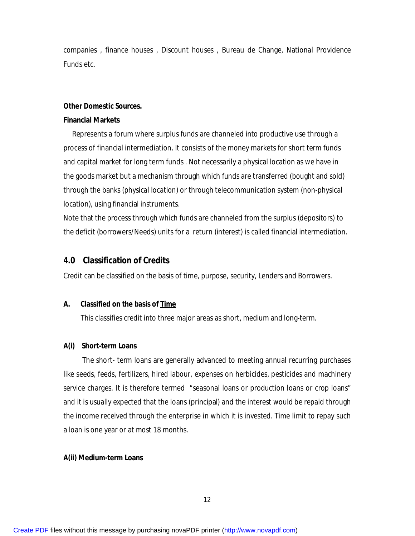companies , finance houses , Discount houses , Bureau de Change, National Providence Funds etc.

#### **Other Domestic Sources.**

#### **Financial Markets**

 Represents a forum where surplus funds are channeled into productive use through a process of financial intermediation. It consists of the money markets for short term funds and capital market for long term funds . Not necessarily a physical location as we have in the goods market but a mechanism through which funds are transferred (bought and sold) through the banks (physical location) or through telecommunication system (non-physical location), using financial instruments.

Note that the process through which funds are channeled from the surplus (depositors) to the deficit (borrowers/Needs) units for a return (interest) is called financial intermediation.

### **4.0 Classification of Credits**

Credit can be classified on the basis of time, purpose, security, Lenders and Borrowers.

#### **A. Classified on the basis of Time**

This classifies credit into three major areas as short, medium and long-term.

#### **A(i) Short-term Loans**

The short- term loans are generally advanced to meeting annual recurring purchases like seeds, feeds, fertilizers, hired labour, expenses on herbicides, pesticides and machinery service charges. It is therefore termed "seasonal loans or production loans or crop loans" and it is usually expected that the loans (principal) and the interest would be repaid through the income received through the enterprise in which it is invested. Time limit to repay such a loan is one year or at most 18 months.

#### **A(ii) Medium-term Loans**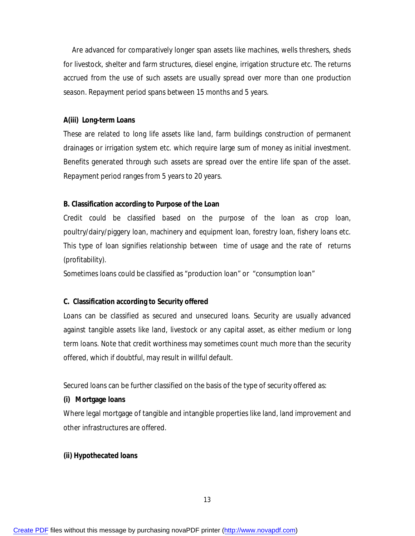Are advanced for comparatively longer span assets like machines, wells threshers, sheds for livestock, shelter and farm structures, diesel engine, irrigation structure etc. The returns accrued from the use of such assets are usually spread over more than one production season. Repayment period spans between 15 months and 5 years.

#### **A(iii) Long-term Loans**

These are related to long life assets like land, farm buildings construction of permanent drainages or irrigation system etc. which require large sum of money as initial investment. Benefits generated through such assets are spread over the entire life span of the asset. Repayment period ranges from 5 years to 20 years.

#### **B. Classification according to Purpose of the Loan**

Credit could be classified based on the purpose of the loan as crop loan, poultry/dairy/piggery loan, machinery and equipment loan, forestry loan, fishery loans etc. This type of loan signifies relationship between time of usage and the rate of returns (profitability).

Sometimes loans could be classified as "production loan" or "consumption loan"

#### **C. Classification according to Security offered**

Loans can be classified as secured and unsecured loans. Security are usually advanced against tangible assets like land, livestock or any capital asset, as either medium or long term loans. Note that credit worthiness may sometimes count much more than the security offered, which if doubtful, may result in willful default.

Secured loans can be further classified on the basis of the type of security offered as:

#### **(i) Mortgage loans**

Where legal mortgage of tangible and intangible properties like land, land improvement and other infrastructures are offered.

#### **(ii) Hypothecated loans**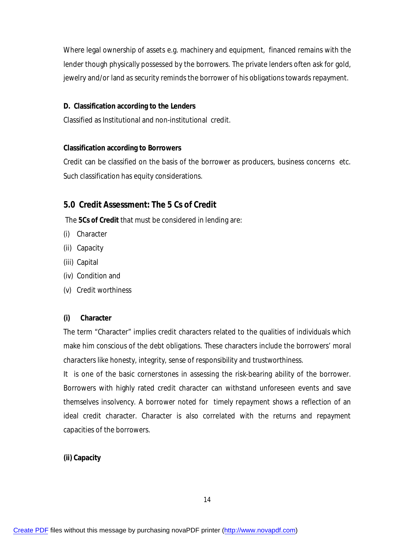Where legal ownership of assets e.g. machinery and equipment, financed remains with the lender though physically possessed by the borrowers. The private lenders often ask for gold, jewelry and/or land as security reminds the borrower of his obligations towards repayment.

### **D. Classification according to the Lenders**

Classified as Institutional and non-institutional credit.

### **Classification according to Borrowers**

Credit can be classified on the basis of the borrower as producers, business concerns etc. Such classification has equity considerations.

## **5.0 Credit Assessment: The 5 Cs of Credit**

The **5Cs of Credit** that must be considered in lending are:

- (i) Character
- (ii) Capacity
- (iii) Capital
- (iv) Condition and
- (v) Credit worthiness

### **(i) Character**

The term "Character" implies credit characters related to the qualities of individuals which make him conscious of the debt obligations. These characters include the borrowers' moral characters like honesty, integrity, sense of responsibility and trustworthiness.

It is one of the basic cornerstones in assessing the risk-bearing ability of the borrower. Borrowers with highly rated credit character can withstand unforeseen events and save themselves insolvency. A borrower noted for timely repayment shows a reflection of an ideal credit character. Character is also correlated with the returns and repayment capacities of the borrowers.

### **(ii) Capacity**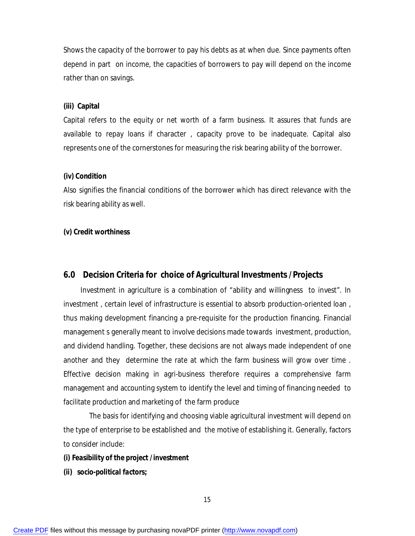Shows the capacity of the borrower to pay his debts as at when due. Since payments often depend in part on income, the capacities of borrowers to pay will depend on the income rather than on savings.

#### **(iii) Capital**

Capital refers to the equity or net worth of a farm business. It assures that funds are available to repay loans if character , capacity prove to be inadequate. Capital also represents one of the cornerstones for measuring the risk bearing ability of the borrower.

#### **(iv) Condition**

Also signifies the financial conditions of the borrower which has direct relevance with the risk bearing ability as well.

#### **(v) Credit worthiness**

#### **6.0 Decision Criteria for choice of Agricultural Investments /Projects**

 Investment in agriculture is a combination of "ability and willingness to invest". In investment , certain level of infrastructure is essential to absorb production-oriented loan , thus making development financing a pre-requisite for the production financing. Financial management s generally meant to involve decisions made towards investment, production, and dividend handling. Together, these decisions are not always made independent of one another and they determine the rate at which the farm business will grow over time . Effective decision making in agri-business therefore requires a comprehensive farm management and accounting system to identify the level and timing of financing needed to facilitate production and marketing of the farm produce

 The basis for identifying and choosing viable agricultural investment will depend on the type of enterprise to be established and the motive of establishing it. Generally, factors to consider include:

#### *(i) Feasibility of the project /investment*

*(ii) socio-political factors;*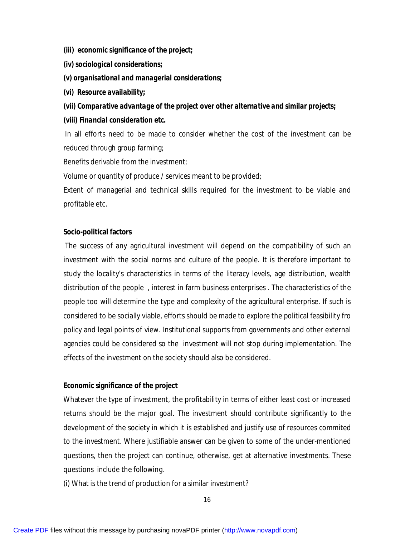- *(iii) economic significance of the project;*
- *(iv) sociological considerations;*
- *(v) organisational and managerial considerations;*
- *(vi) Resource availability;*

### *(vii) Comparative advantage of the project over other alternative and similar projects;*

### *(viii) Financial consideration etc.*

In all efforts need to be made to consider whether the cost of the investment can be reduced through group farming;

Benefits derivable from the investment;

Volume or quantity of produce / services meant to be provided;

Extent of managerial and technical skills required for the investment to be viable and profitable etc.

### **Socio-political factors**

The success of any agricultural investment will depend on the compatibility of such an investment with the social norms and culture of the people. It is therefore important to study the locality's characteristics in terms of the literacy levels, age distribution, wealth distribution of the people , interest in farm business enterprises . The characteristics of the people too will determine the type and complexity of the agricultural enterprise. If such is considered to be socially viable, efforts should be made to explore the political feasibility fro policy and legal points of view. Institutional supports from governments and other external agencies could be considered so the investment will not stop during implementation. The effects of the investment on the society should also be considered.

### **Economic significance of the project**

Whatever the type of investment, the profitability in terms of either least cost or increased returns should be the major goal. The investment should contribute significantly to the development of the society in which it is established and justify use of resources commited to the investment. Where justifiable answer can be given to some of the under-mentioned questions, then the project can continue, otherwise, get at alternative investments. These questions include the following.

(i) What is the trend of production for a similar investment?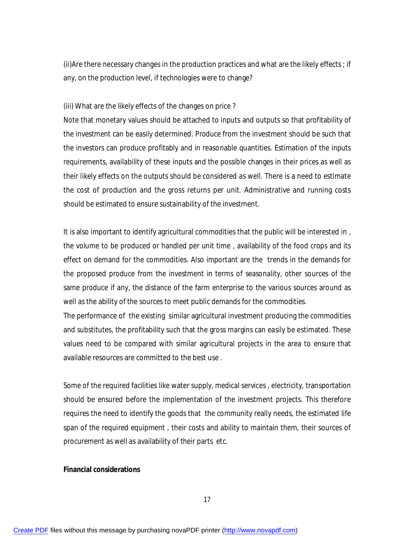(ii)Are there necessary changes in the production practices and what are the likely effects ; if any, on the production level, if technologies were to change?

#### (iii) What are the likely effects of the changes on price ?

Note that monetary values should be attached to inputs and outputs so that profitability of the investment can be easily determined. Produce from the investment should be such that the investors can produce profitably and in reasonable quantities. Estimation of the inputs requirements, availability of these inputs and the possible changes in their prices as well as their likely effects on the outputs should be considered as well. There is a need to estimate the cost of production and the gross returns per unit. Administrative and running costs should be estimated to ensure sustainability of the investment.

It is also important to identify agricultural commodities that the public will be interested in , the volume to be produced or handled per unit time , availability of the food crops and its effect on demand for the commodities. Also important are the trends in the demands for the proposed produce from the investment in terms of seasonality, other sources of the same produce if any, the distance of the farm enterprise to the various sources around as well as the ability of the sources to meet public demands for the commodities.

The performance of the existing similar agricultural investment producing the commodities and substitutes, the profitability such that the gross margins can easily be estimated. These values need to be compared with similar agricultural projects in the area to ensure that available resources are committed to the best use .

Some of the required facilities like water supply, medical services , electricity, transportation should be ensured before the implementation of the investment projects. This therefore requires the need to identify the goods that the community really needs, the estimated life span of the required equipment , their costs and ability to maintain them, their sources of procurement as well as availability of their parts etc.

#### **Financial considerations**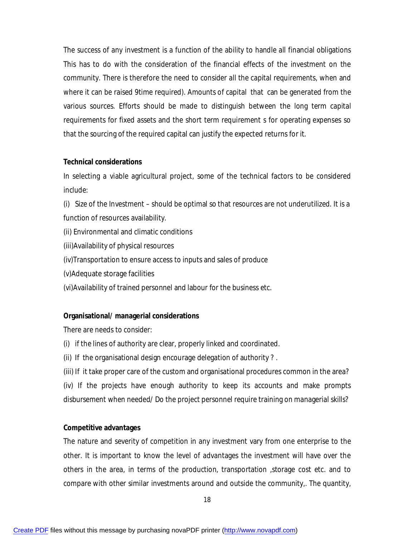The success of any investment is a function of the ability to handle all financial obligations This has to do with the consideration of the financial effects of the investment on the community. There is therefore the need to consider all the capital requirements, when and where it can be raised 9time required). Amounts of capital that can be generated from the various sources. Efforts should be made to distinguish between the long term capital requirements for fixed assets and the short term requirement s for operating expenses so that the sourcing of the required capital can justify the expected returns for it.

### **Technical considerations**

In selecting a viable agricultural project, some of the technical factors to be considered include:

(i) Size of the Investment – should be optimal so that resources are not underutilized. It is a function of resources availability.

- (ii) Environmental and climatic conditions
- (iii)Availability of physical resources
- (iv)Transportation to ensure access to inputs and sales of produce
- (v)Adequate storage facilities
- (vi)Availability of trained personnel and labour for the business etc.

## **Organisational/ managerial considerations**

There are needs to consider:

- (i) if the lines of authority are clear, properly linked and coordinated.
- (ii) If the organisational design encourage delegation of authority ? .

(iii) If it take proper care of the custom and organisational procedures common in the area? (iv) If the projects have enough authority to keep its accounts and make prompts disbursement when needed/ Do the project personnel require training on managerial skills?

## **Competitive advantages**

The nature and severity of competition in any investment vary from one enterprise to the other. It is important to know the level of advantages the investment will have over the others in the area, in terms of the production, transportation ,storage cost etc. and to compare with other similar investments around and outside the community,. The quantity,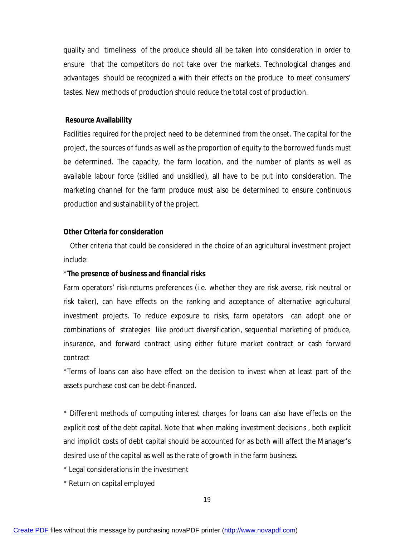quality and timeliness of the produce should all be taken into consideration in order to ensure that the competitors do not take over the markets. Technological changes and advantages should be recognized a with their effects on the produce to meet consumers' tastes. New methods of production should reduce the total cost of production.

#### **Resource Availability**

Facilities required for the project need to be determined from the onset. The capital for the project, the sources of funds as well as the proportion of equity to the borrowed funds must be determined. The capacity, the farm location, and the number of plants as well as available labour force (skilled and unskilled), all have to be put into consideration. The marketing channel for the farm produce must also be determined to ensure continuous production and sustainability of the project.

#### **Other Criteria for consideration**

Other criteria that could be considered in the choice of an agricultural investment project include:

#### \***The presence of business and financial risks**

Farm operators' risk-returns preferences (i.e. whether they are risk averse, risk neutral or risk taker), can have effects on the ranking and acceptance of alternative agricultural investment projects. To reduce exposure to risks, farm operators can adopt one or combinations of strategies like product diversification, sequential marketing of produce, insurance, and forward contract using either future market contract or cash forward contract

\*Terms of loans can also have effect on the decision to invest when at least part of the assets purchase cost can be debt-financed.

\* Different methods of computing interest charges for loans can also have effects on the explicit cost of the debt capital. Note that when making investment decisions , both explicit and implicit costs of debt capital should be accounted for as both will affect the Manager's desired use of the capital as well as the rate of growth in the farm business.

- \* Legal considerations in the investment
- \* Return on capital employed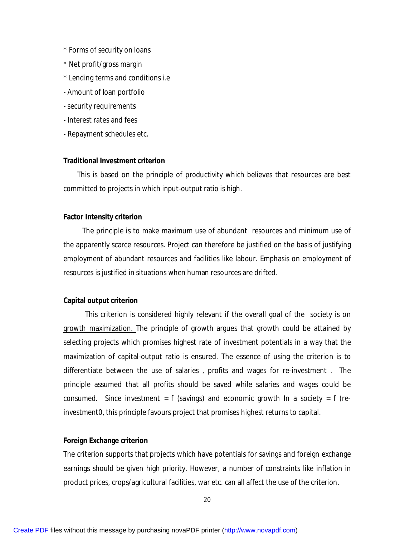- \* Forms of security on loans
- \* Net profit/gross margin
- \* Lending terms and conditions i.e
- Amount of loan portfolio
- security requirements
- Interest rates and fees
- Repayment schedules etc.

#### **Traditional Investment criterion**

 This is based on the principle of productivity which believes that resources are best committed to projects in which input-output ratio is high.

#### **Factor Intensity criterion**

 The principle is to make maximum use of abundant resources and minimum use of the apparently scarce resources. Project can therefore be justified on the basis of justifying employment of abundant resources and facilities like labour. Emphasis on employment of resources is justified in situations when human resources are drifted.

#### **Capital output criterion**

 This criterion is considered highly relevant if the overall goal of the society is on growth maximization. The principle of growth argues that growth could be attained by selecting projects which promises highest rate of investment potentials in a way that the maximization of capital-output ratio is ensured. The essence of using the criterion is to differentiate between the use of salaries , profits and wages for re-investment . The principle assumed that all profits should be saved while salaries and wages could be consumed. Since investment =  $f$  (savings) and economic growth In a society =  $f$  (reinvestment0, this principle favours project that promises highest returns to capital.

#### **Foreign Exchange criterion**

The criterion supports that projects which have potentials for savings and foreign exchange earnings should be given high priority. However, a number of constraints like inflation in product prices, crops/agricultural facilities, war etc. can all affect the use of the criterion.

20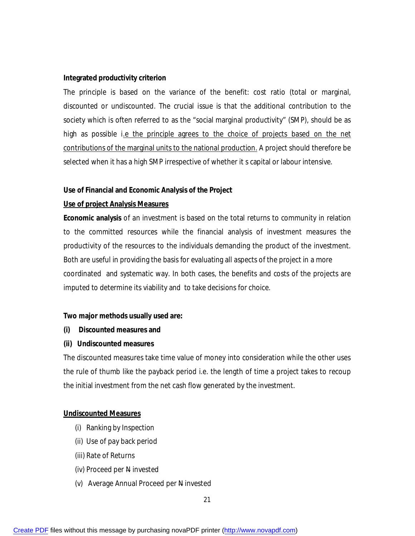### **Integrated productivity criterion**

The principle is based on the variance of the benefit: cost ratio (total or marginal, discounted or undiscounted. The crucial issue is that the additional contribution to the society which is often referred to as the "social marginal productivity" (SMP), should be as high as possible i.e the principle agrees to the choice of projects based on the net contributions of the marginal units to the national production. A project should therefore be selected when it has a high SMP irrespective of whether it s capital or labour intensive.

### **Use of Financial and Economic Analysis of the Project**

### **Use of project Analysis Measures**

**Economic analysis** of an investment is based on the total returns to community in relation to the committed resources while the financial analysis of investment measures the productivity of the resources to the individuals demanding the product of the investment. Both are useful in providing the basis for evaluating all aspects of the project in a more coordinated and systematic way. In both cases, the benefits and costs of the projects are imputed to determine its viability and to take decisions for choice.

### **Two major methods usually used are:**

- **(i) Discounted measures and**
- **(ii) Undiscounted measures**

The discounted measures take time value of money into consideration while the other uses the rule of thumb like the payback period i.e. the length of time a project takes to recoup the initial investment from the net cash flow generated by the investment.

### **Undiscounted Measures**

- (i) Ranking by Inspection
- (ii) Use of pay back period
- (iii) Rate of Returns
- (iv) Proceed per N invested
- (v) Average Annual Proceed per N invested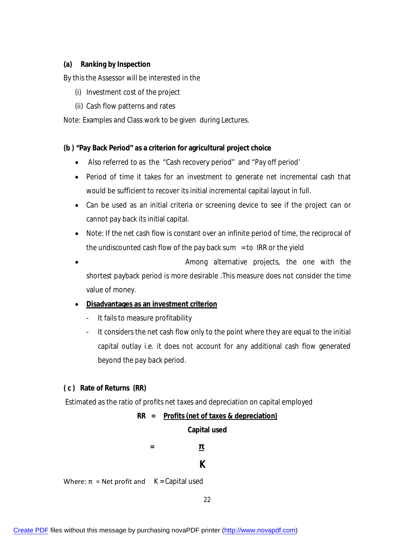## **(a) Ranking by Inspection**

By this the Assessor will be interested in the

- (i) Investment cost of the project
- (ii) Cash flow patterns and rates

Note: Examples and Class work to be given during Lectures.

## **(b ) "Pay Back Period" as a criterion for agricultural project choice**

- Also referred to as the "Cash recovery period" and "Pay off period'
- Period of time it takes for an investment to generate net incremental cash that would be sufficient to recover its initial incremental capital layout in full.
- Can be used as an initial criteria or screening device to see if the project can or cannot pay back its initial capital.
- Note: If the net cash flow is constant over an infinite period of time, the reciprocal of the undiscounted cash flow of the pay back sum  $=$  to IRR or the yield
- Among alternative projects, the one with the shortest payback period is more desirable .This measure does not consider the time value of money.

## **Disadvantages as an investment criterion**

- It fails to measure profitability
- It considers the net cash flow only to the point where they are equal to the initial capital outlay i.e. it does not account for any additional cash flow generated beyond the pay back period.

## **( c ) Rate of Returns (RR)**

Estimated as the ratio of profits net taxes and depreciation on capital employed

**RR = Profits (net of taxes & depreciation)**

**Capital used**

 **= π**  *K* K

Where:  $\pi$  = Net profit and  $K =$  Capital used

22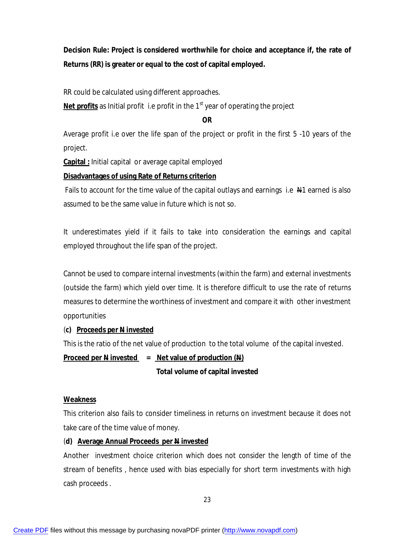**Decision Rule: Project is considered worthwhile for choice and acceptance if, the rate of Returns (RR) is greater or equal to the cost of capital employed.**

RR could be calculated using different approaches.

Net profits as Initial profit i.e profit in the 1<sup>st</sup> year of operating the project

## **OR**

Average profit i.e over the life span of the project or profit in the first 5 -10 years of the project.

**Capital :** Initial capital or average capital employed

## **Disadvantages of using Rate of Returns criterion**

Fails to account for the time value of the capital outlays and earnings i.e  $\mathbb{H}$ 1 earned is also assumed to be the same value in future which is not so.

It underestimates yield if it fails to take into consideration the earnings and capital employed throughout the life span of the project.

Cannot be used to compare internal investments (within the farm) and external investments (outside the farm) which yield over time. It is therefore difficult to use the rate of returns measures to determine the worthiness of investment and compare it with other investment opportunities

## (**c) Proceeds per N invested**

This is the ratio of the net value of production to the total volume of the capital invested.

## **Proceed per N invested = Net value of production (N)**

## **Total volume of capital invested**

## **Weakness**

This criterion also fails to consider timeliness in returns on investment because it does not take care of the time value of money.

## (**d) Average Annual Proceeds per N invested**

Another investment choice criterion which does not consider the length of time of the stream of benefits , hence used with bias especially for short term investments with high cash proceeds .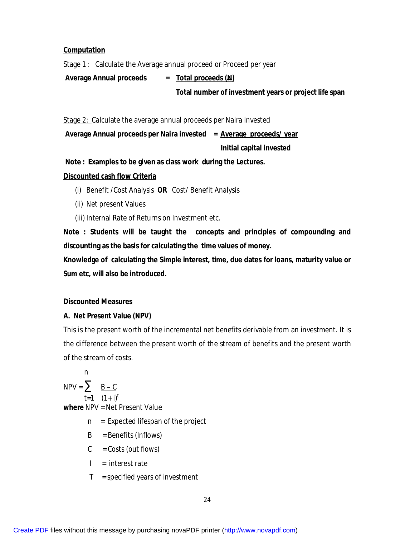## **Computation**

Stage 1 : Calculate the Average annual proceed or Proceed per year

Average Annual proceeds = Total proceeds (N)

 **Total number of investment years or project life span**

Stage 2: Calculate the average annual proceeds per Naira invested

**Average Annual proceeds per Naira invested = Average proceeds/ year**

 **Initial capital invested**

**Note : Examples to be given as class work during the Lectures.**

## **Discounted cash flow Criteria**

(i) Benefit /Cost Analysis **OR** Cost/ Benefit Analysis

- (ii) Net present Values
- (iii) Internal Rate of Returns on Investment etc.

**Note : Students will be taught the concepts and principles of compounding and discounting as the basis for calculating the time values of money.**

**Knowledge of calculating the Simple interest, time, due dates for loans, maturity value or Sum etc, will also be introduced.** 

## **Discounted Measures**

## **A. Net Present Value (NPV)**

This is the present worth of the incremental net benefits derivable from an investment. It is the difference between the present worth of the stream of benefits and the present worth of the stream of costs.

 n  $NPV = \sum \quad \underline{B - C}$  $t=1$   $(1+i)^t$ **where** NPV = Net Present Value  $n =$  Expected lifespan of the project B = Benefits (Inflows)

- $C = \text{Costs}$  (out flows)
- $I =$  interest rate
- $T =$  specified years of investment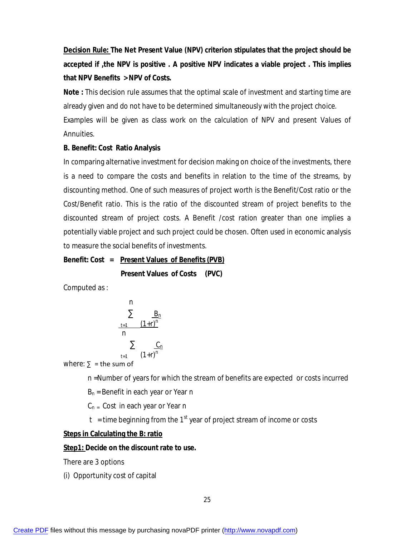**Decision Rule: The Net Present Value (NPV) criterion stipulates that the project should be accepted if ,the NPV is positive . A positive NPV indicates a viable project . This implies that NPV Benefits > NPV of Costs.** 

**Note :** This decision rule assumes that the optimal scale of investment and starting time are already given and do not have to be determined simultaneously with the project choice. Examples will be given as class work on the calculation of NPV and present Values of Annuities.

### **B. Benefit: Cost Ratio Analysis**

In comparing alternative investment for decision making on choice of the investments, there is a need to compare the costs and benefits in relation to the time of the streams, by discounting method. One of such measures of project worth is the Benefit/Cost ratio or the Cost/Benefit ratio. This is the ratio of the discounted stream of project benefits to the discounted stream of project costs. A Benefit /cost ration greater than one implies a potentially viable project and such project could be chosen. Often used in economic analysis to measure the social benefits of investments.

### **Benefit: Cost = Present Values of Benefits (PVB)**

**Present Values of Costs (PVC)**

Computed as :

n  
\n
$$
\sum_{\frac{t=1}{n}}^n \frac{B_n}{(1+r)^n}
$$
\n
$$
\sum_{\frac{t=1}{n}}^n \frac{C_n}{(1+r)^n}
$$
\nwhere  $S = \pm$  be sum of

where:  $\Sigma =$  the sum of

n =Number of years for which the stream of benefits are expected or costs incurred

 $B_n$  = Benefit in each year or Year n

 $C_n$  = Cost in each year or Year n

t = time beginning from the 1<sup>st</sup> year of project stream of income or costs

### **Steps in Calculating the B: ratio**

### **Step1: Decide on the discount rate to use.**

There are 3 options

(i) Opportunity cost of capital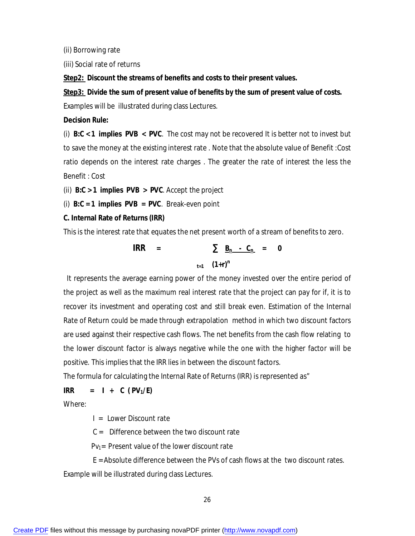(ii) Borrowing rate

(iii) Social rate of returns

**Step2: Discount the streams of benefits and costs to their present values.**

**Step3: Divide the sum of present value of benefits by the sum of present value of costs.**

Examples will be illustrated during class Lectures.

### **Decision Rule:**

(i) **B:C < 1 implies PVB < PVC**. The cost may not be recovered It is better not to invest but to save the money at the existing interest rate . Note that the absolute value of Benefit :Cost ratio depends on the interest rate charges . The greater the rate of interest the less the Benefit : Cost

(ii) **B:C > 1 implies PVB > PVC**. Accept the project

(i) **B:C = 1 implies PVB = PVC**. Break-even point

#### **C. Internal Rate of Returns (IRR)**

This is the interest rate that equates the net present worth of a stream of benefits to zero.

$$
IRR = \sum_{t=1}^{n} \frac{B_n - C_n}{(1+r)^n} = 0
$$

It represents the average earning power of the money invested over the entire period of the project as well as the maximum real interest rate that the project can pay for if, it is to recover its investment and operating cost and still break even. Estimation of the Internal Rate of Return could be made through extrapolation method in which two discount factors are used against their respective cash flows. The net benefits from the cash flow relating to the lower discount factor is always negative while the one with the higher factor will be positive. This implies that the IRR lies in between the discount factors.

The formula for calculating the Internal Rate of Returns (IRR) is represented as"

**IRR** = **I** + **C** ( $PV_1/E$ )

Where:

 $I = I$  ower Discount rate

 $C =$  Difference between the two discount rate

 $PV_1$ = Present value of the lower discount rate

 E = Absolute difference between the PVs of cash flows at the two discount rates. Example will be illustrated during class Lectures.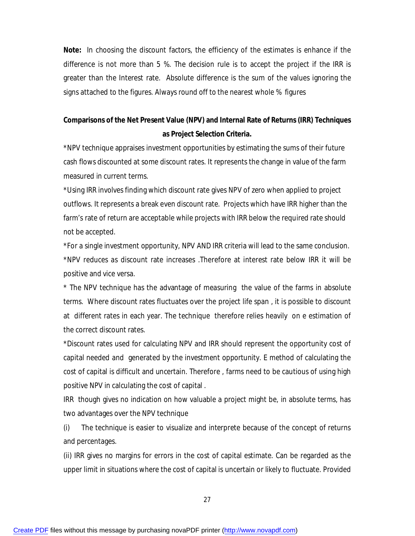**Note:** In choosing the discount factors, the efficiency of the estimates is enhance if the difference is not more than 5 %. The decision rule is to accept the project if the IRR is greater than the Interest rate. Absolute difference is the sum of the values ignoring the signs attached to the figures. Always round off to the nearest whole % figures

## **Comparisons of the Net Present Value (NPV) and Internal Rate of Returns (IRR) Techniques as Project Selection Criteria.**

\*NPV technique appraises investment opportunities by estimating the sums of their future cash flows discounted at some discount rates. It represents the change in value of the farm measured in current terms.

\*Using IRR involves finding which discount rate gives NPV of zero when applied to project outflows. It represents a break even discount rate. Projects which have IRR higher than the farm's rate of return are acceptable while projects with IRR below the required rate should not be accepted.

\*For a single investment opportunity, NPV AND IRR criteria will lead to the same conclusion. \*NPV reduces as discount rate increases .Therefore at interest rate below IRR it will be positive and vice versa.

\* The NPV technique has the advantage of measuring the value of the farms in absolute terms. Where discount rates fluctuates over the project life span , it is possible to discount at different rates in each year. The technique therefore relies heavily on e estimation of the correct discount rates.

\*Discount rates used for calculating NPV and IRR should represent the opportunity cost of capital needed and generated by the investment opportunity. E method of calculating the cost of capital is difficult and uncertain. Therefore , farms need to be cautious of using high positive NPV in calculating the cost of capital .

IRR though gives no indication on how valuable a project might be, in absolute terms, has two advantages over the NPV technique

(i) The technique is easier to visualize and interprete because of the concept of returns and percentages.

(ii) IRR gives no margins for errors in the cost of capital estimate. Can be regarded as the upper limit in situations where the cost of capital is uncertain or likely to fluctuate. Provided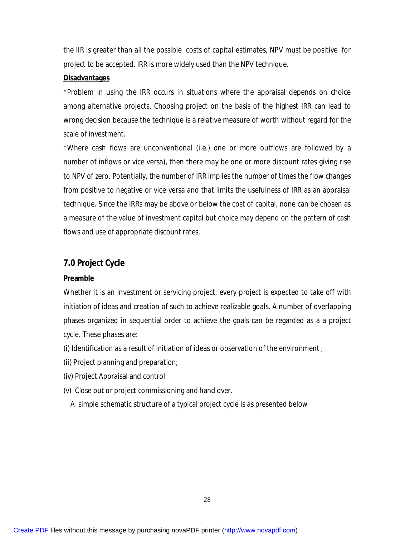the IIR is greater than all the possible costs of capital estimates, NPV must be positive for project to be accepted. IRR is more widely used than the NPV technique.

#### **Disadvantages**

\*Problem in using the IRR occurs in situations where the appraisal depends on choice among alternative projects. Choosing project on the basis of the highest IRR can lead to wrong decision because the technique is a relative measure of worth without regard for the scale of investment.

\*Where cash flows are unconventional (i.e.) one or more outflows are followed by a number of inflows or vice versa), then there may be one or more discount rates giving rise to NPV of zero. Potentially, the number of IRR implies the number of times the flow changes from positive to negative or vice versa and that limits the usefulness of IRR as an appraisal technique. Since the IRRs may be above or below the cost of capital, none can be chosen as a measure of the value of investment capital but choice may depend on the pattern of cash flows and use of appropriate discount rates.

### **7.0 Project Cycle**

#### **Preamble**

Whether it is an investment or servicing project, every project is expected to take off with initiation of ideas and creation of such to achieve realizable goals. A number of overlapping phases organized in sequential order to achieve the goals can be regarded as a a project cycle. These phases are:

- (i) Identification as a result of initiation of ideas or observation of the environment ;
- (ii) Project planning and preparation;
- (iv) Project Appraisal and control
- (v) Close out or project commissioning and hand over.
	- A simple schematic structure of a typical project cycle is as presented below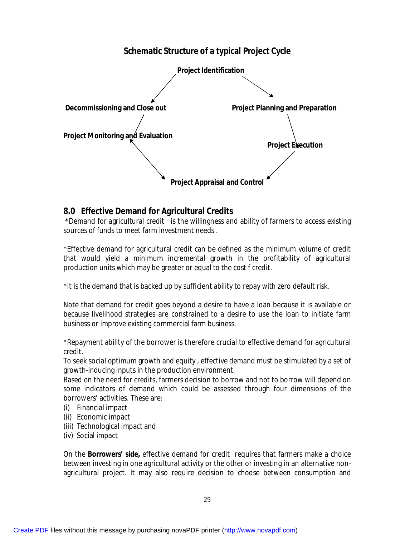## **Schematic Structure of a typical Project Cycle**



## **8.0 Effective Demand for Agricultural Credits**

\*Demand for agricultural credit is the willingness and ability of farmers to access existing sources of funds to meet farm investment needs .

\*Effective demand for agricultural credit can be defined as the minimum volume of credit that would yield a minimum incremental growth in the profitability of agricultural production units which may be greater or equal to the cost f credit.

\*It is the demand that is backed up by sufficient ability to repay with zero default risk.

Note that demand for credit goes beyond a desire to have a loan because it is available or because livelihood strategies are constrained to a desire to use the loan to initiate farm business or improve existing commercial farm business.

\*Repayment ability of the borrower is therefore crucial to effective demand for agricultural credit.

To seek social optimum growth and equity , effective demand must be stimulated by a set of growth-inducing inputs in the production environment.

Based on the need for credits, farmers decision to borrow and not to borrow will depend on some indicators of demand which could be assessed through four dimensions of the borrowers' activities. These are:

- (i) Financial impact
- (ii) Economic impact
- (iii) Technological impact and
- (iv) Social impact

On the **Borrowers' side**, effective demand for credit requires that farmers make a choice between investing in one agricultural activity or the other or investing in an alternative nonagricultural project. It may also require decision to choose between consumption and